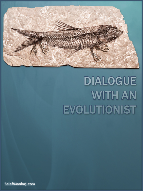

# DIALOGUE **WITH AN EVOLUTIONIST**

SalafiManhaj.com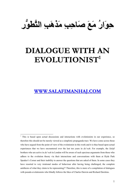

# **DIALOGUE WITH AN EVOLUTIONIST1**

**WWW.SALAFIMANHAJ.COM**

<sup>&</sup>lt;sup>1</sup> This is based upon actual discussions and interactions with evolutionists in our experience, so therefore this should not be merely viewed as a simplistic propaganda tract. We have come across those who have argued from the point of view of the evolutionist in this work and it is thus based upon actual experiences that we have encountered over the last ten years in *da'wah*. For example, the *Salafi* brothers who are active in *da'wah* in London will be aware of such specious arguments from those who adhere to the evolution theory via their interactions and conversations with them at Hyde Park Speaker's Corner and their inability to answer the questions that are asked of them. In some cases they have resorted to very irrational modes of behaviour after having being challenged, the complete antithesis of what they claim to be representing!? Therefore, this is more of a compilation of dialogues with pseudo-evolutionists who blindly follows the likes of Charles Darwin and Richard Dawkins.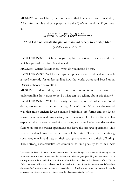MUSLIM<sup>2</sup>: As for Islaam, then we believe that humans we were created by Allaah for a noble and wise purpose. As the Qur'aan mentions, if you read it,

وَمَا خَلَقْتُ الْجِنَّ وَالْإِنسَ إِلَّا لِيَعْبُدُونِ

**"And I did not create the jinn or mankind except to worship Me"** 

*{adh-Dhaariyaat (51): 56}* 

EVOLUTIONIST: But how do you explain the origin of species and that : which is proved by scientific evidence?

MUSLIM: "Scientific evidence?" what do you intend by this?

EVOLUTIONIST: Well for example, empirical science and evidence which : is used currently for understanding how the world works and based upon Darwin's theory of evolution.

MUSLIM: Understanding how something *works* is not the same as understanding *how* it came to be. So what can you tell me about this theory? EVOLUTIONIST: Well, the theory is based upon on what was noted : during excavations carried out during Darwin's time. What was discovered was that more ancient levels contained primitive life-forms and the levels above them contained progressively more developed life-forms. Darwin also explained the process of evolution as being via natural selection, destructive factors kill off the weaker specimens and leave the stronger specimens. This is what is also known as the survival of the fittest. Therefore, the strong specimens remain and pass on their strong characteristics to their offspring. These strong characteristics are combined as time goes by to form a new

<sup>2</sup> The Muslim here is intended to be a Muslim who follows the Qur'aan, *sunnah* and *manhaj* of the *salaf*, who has some idea of how to call to Allaah, with wisdom, good preaching and evidences. It is in no way meant to be modelled upon a Muslim who follows the likes of the literature of the *'Harun Yahya'* industry, which is an industry that fights against the *sunnah* and the *hadeeth*, and is based on the *manhaj* of the *Qur'aaniyoon.* Nor is it intended to be a Muslim who goes to excesses with regards to science and tries to prove every single scientific phenomena via the Qur'aan.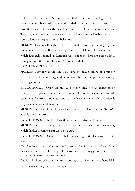feature in the species. Nature selects that which is advantageous and unfavourable characteristics are discarded, this is what is meant by evolution, which makes the specimen develop into a superior specimen. This ongoing development is known as 'evolution' and it has been used by some scientists t explain human behaviour.

MUSLIM: This was thought of before Darwin aswell by the way, by the Frenchman Lamarck. But this a very flawed idea, I know about that theory which Lamarck outlined, as Lamarck was in fact the first top come with a theory of evolution, not Darwin. Did you now that?

EVOLUTIONIST: No, I didn't. :

MUSLIM: Darwin was the one who gave the theory more of a proper scientific direction and argue it systematically, but people were already thinking about it.

EVOLUTIONIST: Okay. In any case, every time a new characteristic : emerges, it is passed on to the offspring. This is the scientific, rational, accurate and correct model as opposed to what you say which is irrational, religious, fanatical and incorrect.

MUSLIM: But how do we know which animals or plants are the "fittest"? what is the criterion?

EVOLUTIONIST: The fittest are those which survive the longest. :

MUSLIM: But the theory does not show us the mechanism following which, higher organisms appeared on earth.

EVOLUTIONIST: Darwin noted that organisms give rise to many different : varieties:

"Good varieties have an edge over the 'not so good' which are crowded out. Good variants then succeed in the struggle, they survive and over a long period of time, give rise to new organisms slowly and gradually."

But it's all about selection, nature choosing that which is more beneficial. Like the neck of a giraffe for example.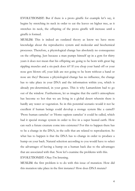EVOLUTIONIST: But if there is a proto giraffe for example let's say, it : begins by stretching its neck in order to eat the leaves on higher tree, as it stretches its neck, the offspring of the proto giraffe will increase until a giraffe is formed.

MUSLIM: This is indeed an outdated theory as know we have more knowledge about the reproductive system and molecular and biochemical processes. Therefore, a physiological change has absolutely no consequence on the offspring. Just because a man pumps himself up in a gym for thirty years it does not mean that his offspring are going to be born with great big rippling muscles and a six-pack does it?! If you chop your hand off or your nose gets blown off, your kids are not going to be born without a hand or nose are they? Because a physiological change has no influence, the change has to take place in your DNA and the information within you, which is already pre-determined, in your genes. This is why Lamarckism had to go out of the window. Furthermore, let us imagine that the earth's atmosphere has become so hot that we are living in a global desert wherein there is hardly any water or vegetation. So in this potential scenario would it not be excellent if human beings could develop a storage system like a camel!? 'Proto human camelus' or 'Homo sapiens camelus' it could be called, which had it special storage system in order to live in a super heated earth. How can such a future creature come into existence? For this to happen there has to be a change in the DNA, in the cells that are related to reproduction. So what has to happen is that the DNA has to change in order to produce a hump on your back. Natural selection according to you would have to select the advantages of having a hump on a human back due to the advantages that are associated with that. Now let's examine the problems with this. EVOLUTIONIST: Okay I'm listening. :

MUSLIM: the first problem is to do with this issue of mutation. How did

this mutation take place in the first instance? How does DNA mutate?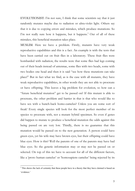EVOLUTIONIST: I'm not sure, I think that some scientists say that it just : randomly mutates maybe due to radiation or ultra-violet light. Others say that it is due to copying errors and mistakes, which produce mutations. So I'm not really sure how it happens, but it happens.<sup>3</sup> Out of all of these mistakes, this beneficial mutation takes place.

MUSLIM: Here we have a problem. Firstly, mutants have very weak reproductive capabilities and this is a fact. An example is with the tests that have been carried out on fruit flies in a laboratory. These fruit flies were bombarded with radiation, the results were that some flies had legs coming out of their heads instead of antennae, some flies with two heads, some with two bodies one head and then it is said "see how these mutations can take place!" But in fact what we find, as is the case with all mutants, they have weak reproductive capabilities, in other words they are not able to procreate or have offspring. This leaves a big problem for evolution, so how can a "future beneficial mutation" get to be passed on? If this mutant is able to procreate, the other problem and barrier in that is that who would like to have sex with a hunch-back homo-camelus? Unless you are some sort of freak! Every single species will look for the most perfect member of its species to procreate with, not a mutant hybrid specimen. So even if genes did happen to mutate to produce a beneficial mutation the odds against this being passed on are very low. Thirdly, there is no guarantee that this mutation would be passed on to the nest generation. A person could have green eyes, yet his wife may have brown eyes, but their offspring could have blue eyes. How is this? Well the parents of one of the parents may have had blue eyes. So the genetic information may or may not be passed on or selected. On top of this we have to account for all of the different factors, like a 'proto human camelus' or 'homosapiens camelus' being rejected by its

<sup>&</sup>lt;sup>3</sup> This shows the lack of certainty that these people have in a theory that they have claimed is based on 'evidence.'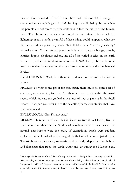parents if not aborted before it is even born with cries of "O, I have got a camel inside of me, let's get rid of it!" leading to a child being aborted while the parents are not aware that the child was in fact the future of the human race? The 'homosapeins camelus' could die in infancy, be struck by lightening or run over by a car. All of these things could happen so what are the actual odds against any such "beneficial creature" actually existing? Virtually none. Yet we are supposed to believe that human beings, camels, giraffes, hippos, elephants, zebras, and all of the varied species on the earth are all a product of random mutation of DNA! The problems become insurmountable for evolution when we look at evolution at the biochemical level…

EVOLUTIONIST: Wait, but there is evidence for natural selection in nature.

MUSLIM: So what is the proof for this, surely there must be some sort of evidence, as you stated, for this? Are there are any fossils within the fossil record which indicate the gradual appearance of new organisms in the fossil record? If so, can you refer me to the scientific journals or studies that have been conducted?

EVOLUTIONIST: Err, I'm not sure.<sup>4</sup>

MUSLIM: There are no fossils that indicate any transitional forms, from a species into another species. Studies of fossils records in fact prove that natural catastrophes were the cause of extinctions, which were sudden, collective and colossal, of such a magnitude that very few were spared from. The trilobites that were very successful and perfectly adapted to their habitat and dinosaurs that ruled the earth, water and air during the Mesozoic era

<sup>&</sup>lt;sup>4</sup> This again is the reality of the fallacy of many of those who blindly follow the theory of evolution. After spending much time in trying to promote themselves as being intellectual, rational, empirical and "supported by evidence" they are unaware of actual scientific research in the field!? As for those who claim to be aware of it, then they attempt to discreetly brush the issue under the carpet and try to bypass it.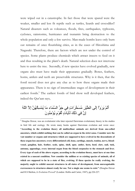were wiped out in a catastrophe. In fact those that were spared were the weaker, smaller and less fit reptile such as turtles, lizards and crocodiles!! Natural disasters such as volcanoes, floods, fires, earthquakes, typhoons, cyclones, rainstorms, hurricanes and tsunamis bring destruction to the whole population and only a few survive. Man-made bombs leave only burn out remains of once flourishing cities, as in the cases of Hiroshima and Nagasaki. Therefore, there are factors which are not under the control of species. Some plants produce chemicals which attract insects to feed on it and thus resulting in the plant's death. Natural selection does not intervene here to assist the tree. Secondly, if new species have evolved gradually, new organs also must have made their appearance gradually. Bones, feathers, horns, antlers and teeth are preservable structures. Why is it then, that the fossil record does not give any clue as to how these organs made their appearance. There is no sign of intermediate stages of development in their earliest fossils.<sup>5</sup> The earliest fossils of bird show well developed feathers, indeed the Qur'aan says,

# أَلَمْ يَرَوْاْ إِلَى الطَّيْرِ مُسَخَّرَاتٍ فِي جَوٍّ السَّمَاء مَا يُمْسِكُهُنَّ إِلاَّ اللّهُ ِانَّ فِي ذَلِكَ لَآيَاتِ لِّقَوْمِ يُوْمِنُو نَ

<sup>5</sup> Douglas Dewar, was an evolutionist who later rejected Darwinian evolutionary theory in his studies in bird life and zoology. He wrote many books against Darwinian evolution and wrote once: **"According to the evolution theory all multicelluar animals are derived from one-celled ancestors, which exhibit nothing that can be called an organ in the strict sense. Consider now the vast number or organs and structures which are supposed to have evolved in the descendents of these organ-less ancestors; every differentiated cell, bone, cartilage, muscle, tendon, nerve, bloodvessel, ganglion, hair, feather, scale, spine, shell, spur, antler, horn, hoof, claw, nail, tusk, antenna, appendage, every internal organ from the blood corpuscles to the stomach and liver. Every type of each of the above organs, according to the evolution theory, must have at one time existed in a nascent condition. Now consider the million or so existing species of animals, all of which are supposed to be in a state of flux, evolving. If these species be really evolving, the majority ought to exhibit nascent structures in all states of development, from unrecognisable excrescences to structures almost ready for use. Not a single one seems to exist."** (Douglas Dewar and H.S Shelton, *Is Evolution Proved?* (London: Hollis and Carter, 1947), pp.226-227.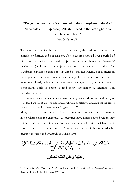# **"Do you not see the birds controlled in the atmosphere in the sky? None holds them up except Allaah. Indeed in that are signs for a people who believe."**

*{an-Nahl (16): 79}* 

The same is true for horns, antlers and teeth, the earliest structures are completely formed and nor nascent. They have not evolved over a period of time, in fact some have had to propose a new theory of *'punctuated equilibrium'* (evolution in large jumps) in order to account for this. The Cambrian explosion cannot be explained by this hypothesis, not to mention the appearance of new organs in succeeding classes, which were not found in reptiles. Lastly, what is the selective advantage of migration in face of tremendous odds in order to find their sustenance? A scientist, Von Bertalanffy wrote:

"…I for one, in spite all the benefits drawn from genetics and mathematical theory of selection, I am still at a loss to understand, why it is of selective advantage for the eels of Comacchio to travel perilously to the Sargasso Sea…"6

Many of these creatures have these abilities inherently in their formation, like a Chameleon for example. All creatures have limits beyond which they cannot pass, inborn potentials, not developed characteristics that have been formed due to the environment. Another clear sign of this is in Allaah's creation in cattle and livestock, as Allaah says,

# وَإِنَّ لَكُمْ فِي الْأَنْعَامِ لْعِبْرِدَةَ نْسْقِيكُم مِّمَّا فِي بُطُونِهَا وَلَكُمْ فِيهَا مَنَافِعُ كَثِيرَةٌ وَمِنْهَا تَأْكُلُونَ() وَ عَلَيْهَا وَ عَلَى الْفُلْكِ ثُحْمَلُونَ

<sup>6</sup> L. Von Bertalanffy, *"Chance or Law"* in A. Koestler and J.R. Smythies (eds.) *Beyond Reductionism* (London: Radius Books, Hutchinson, 1972), p.65.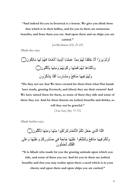**"And indeed for you in livestock is a lesson. We give you drink from that which is in their bellies, and for you in them are numerous benefits, and from them you eat. And upon them and on ships you are carried."**

*{al-Mu'mineen (23): 21-22}* 

Allaah also says,

ٌ˴ϥϮ˵Ϝ˶ϟΎ˴ϣ Ύ˴Ϭ˴ϟ ˸Ϣ˵Ϭ˴ϓ Ύ˱ϣΎ˴ό˸ϧ˴ Ύ˴Ϩϳ˶Ϊ˸ϳ˴ ˸Ζ˴Ϡ˶Ϥ˴ϋ Ύ͉Ϥ˶ϣ ˸Ϣ˵Ϭ˴ϟ Ύ˴Ϩ˸Ϙ˴Ϡ˴Χ Ύ͉ϧ˴ ˸ϭ˴ή˴ϳ ˸Ϣ˴ϟ˴ϭ˴ ٌ˴ϥϮ˵Ϡ˵ϛ˸΄˴ϳ Ύ˴Ϭ˸Ϩ˶ϣ˴ϭ ˸Ϣ˵Ϭ˵ΑϮ˵ϛ˴έ Ύ˴Ϭ˸Ϩ˶Ϥ˴ϓ ˸Ϣ˵Ϭ˴ϟ Ύ˴ϫΎ˴Ϩ˸Ϡ͉ϟ˴Ϋ˴ϭ ˴ϥϭ˵ή˵Ϝ˸θ˴ϳ Ύ˴Ϡ˴ϓ˴ ˵Ώ˶έΎ˴θ˴ϣ˴ϭ ˵ϊ˶ϓΎ˴Ϩ˴ϣ Ύ˴Ϭϴ˶ϓ ˸Ϣ˵Ϭ˴ϟ˴ϭ

**"Do they not see that We have created for them from what Our hands have made, grazing livestock, and (then) they are their owners? And We have tamed them for them, so some of them they ride and some of them they eat. And for them therein are (other) benefits and drinks, so will they not be grateful."** 

*{Yaa Seen (36): 71-73}* 

Allaah further says,

ٌ˴ϥϮ˵Ϡ˵ϛ˸΄˴Η Ύ˴Ϭ˸Ϩ˶ϣ˴ϭ Ύ˴Ϭ˸Ϩ˶ϣ Ϯ˵Β˴ϛ˸ή˴Θ˶ϟ ˴ϡΎ˴ό˸ϧ˴΄˸ϟ ˵Ϣ˵Ϝ˴ϟ ˴Ϟ˴ό˴Ο ϱ˶ά͉ϟ ˵Ϫ͉Ϡϟ ϰ˴Ϡ˴ϋ˴ϭ Ύ˴Ϭ˸ϴ˴Ϡ˴ϋ˴ϭ ˸Ϣ˵ϛ˶έϭ˵Ϊ˵λ ϲ˶ϓ ˱Δ˴ΟΎ˴Σ Ύ˴Ϭ˸ϴ˴Ϡ˴ϋ Ϯ˵ϐ˵Ϡ˸Β˴Θ˶ϟ˴ϭ ˵ϊ˶ϓΎ˴Ϩ˴ϣ Ύ˴Ϭϴ˶ϓ ˸Ϣ˵Ϝ˴ϟ˴ϭ ˴ϥϮ˵Ϡ˴Ϥ˸Τ˵Η ˶Ϛ˸Ϡ˵ϔ˸ϟ

**"It is Allaah who made for you the grazing animals upon which you ride, and some of them you eat. And for you in them are (other) benefits and that you may realise upon them a need which is in your chests; and upon them and upon ships you are carried."**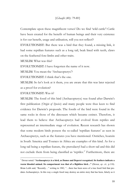### *{Ghaafir (40): 79-80}*

Contemplate upon these magnificent verses! Do we find 'wild cattle'! Cattle have been created for the benefit of human beings and their very existence is for our benefit, usage and utilisation, will you not reflect!?

EVOLUTIONIST: But there was a bird that they found, a missing link, it : had some reptilian features such as a long tail, beak lined with teeth, claws on the feathered fore-limbs and other traits.

MUSLIM: What was this?

EVOLUTIONIST: I have forgotten the name of it now.

MUSLIM: You mean the 'Archaeopteryx'?

 $EVALU$ TIONIST: I think that's the one.

MUSLIM: So let's look at it them, you are aware that this was later rejected as a proof for evolution?

#### EVOLUTIONIST: Was it?

MUSLIM: The fossil of this bird (Archaeopteryx) was found after Darwin's first publication (*Origin of Species*) and many people were thus keen to find evidence for Darwin's proposals. The fossils of the bird were found in the same rocks in those of the dinosaurs which became extinct. Therefore, it lead them to believe that Archaeopteryx had evolved from reptiles and represented an intermediate stage of evolution. Recent research has shown that some modern birds possess the so-called 'reptilian features' as seen in Archaeopteryx, such as the features you have mentioned. Ostriches, hoatzin in South America and Touraco in Africa are examples of this kind. As for a long tail being a reptilian feature, the pterodactyl had a short tail and this did not exclude them from being classified as 'reptiles.'7 Furthermore, there are

<sup>7</sup> Dewar noted: **"Archaeopteryx is a bird, as Dames and Deperet recognised. Its feathers indicate a warm blooded animal. Its compartment was that of a flightless bird…"** (Dewar, *op. cit.,* p.110). Brian Leith said, "Recently…" writing in 1982, "…there has been news of a true fossil bird that predates Archaeopteryx. In this way a single fossil may destroy an entire story that has been, falsely as it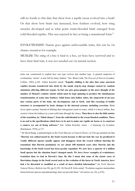still no fossils to this date that show how a reptile snout evolved into a beak! Or that show how brain size increased, how feathers evolved, how wing muscles developed and at what point warm-blooded birds emerged from cold-blooded reptiles. This was rejected in fact as being a transitional form.<sup>8</sup>

EVOLUTIONIST: Nature goes against unfavourable traits, this can be via : chance mutation for example.

MUSLIM: The sting of a bee is fatal to a bee, yet bees have survived and so have their fatal trait, it was not weeded out via natural section.

turns out, constructed to explain how one type evolves into another type. A general suspicion of evolutionary 'stories' is now felt by many cladists." See: Brian Leith, *The Descent of Darwin* (London: Collins, 1982) p.102. Arthur Koestler stated: **"Equally chilling is the idea that some ancestral reptiles became transferred into birds by the small, step-by-step changes caused by random mutations affecting different organs. In fact one gets goose-pimples at the mere thought of the number of Monod's roulette wheels which must be kept spinning to produce the simultaneous transformation of scales into feathers. Solid bones into hollow tubes, the outgrowth of air-sacs into various parts of the body, the development, and so forth. And this recasting of bodily structure is accompanied by basic changes in the internal systems, including excretion.** Birds never spent a penny! Instead of diluting their nitrogenous waste in water, which is a heavy ballast, they excrete it from the kidneys in a semi solid state through the cloaca. **Then there is also the little matter of the transition, by "blind chance", from the cold-blooded to the warm blooded condition. There is no end to the specifications which have to be met to make our reptile air borne or to construct a camera eye out of living software."** See; Arthur Koestler, *Janus – A Summing Up* (London: Hutchinson, 1978), p.175

8 Dr David Raup, a paleontologist at the *Field Museum of Natural History of Chicago* pointed out that **"Darwin was embarrassed by the fossil record because it did not look the way he predicted it would, different species usually appear and disappear from the record without showing the transitions that Darwin postulated, we are about 100 hundred years after Darwin and the knowledge of the fossil record has been greatly expanded. We now have a quarter of a million fossil species but the situation hasn't changed much. We have fewer examples of evolutionary transition than we had in Darwin's time. By this I mean that some of the classic cases of Darwinian change in the fossil record such as the evolution of the horse in North America, have had o be discarded or modified as a result of more detailed information."** (In *Field Museum Natural History Bulletin* (no.50), pp.22-29) Dr David B. Kitts noted; "Evolution requires intermediate forms between species and paleontology does not provide them." (*Evolution (no.28)*, p.476).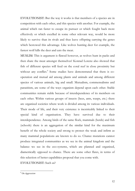EVOLUTIONIST: But the way it works is that members of a species are in : competition with each other, and this species with another. For example, the animal which ran faster to escape its pursuer or which fought back more effectively or which excelled in some other relevant way, would be more likely to survive than its rivals and thus leave offspring carrying the genes which bestowed this advantage. Like wolves hunting deer for example, the fastest wolf kills the deer and eats the meat.

MUSLIM: This is argument is flawed however, as wolves hunt in packs and then share the meat amongst themselves! Konrad Lorenz also showed that fish of different species will feed on the coral reef in close proximity but without any conflict.<sup>9</sup> Some studies have demonstrated that there is cooperation and mutual aid among plants and animals and among different species of various animals, big and small. Mutualism, commensalisms and parasitism, are some of the ways organism depend upon each other. Stable communities remain stable because of interdependence of its members on each other. Within various groups of insects (bees, ants, wasps, etc.) there are organised societies where work is divided among its various individuals. Their mode of life, and their very existence is inextricably linked to their special kind of organisation. They have survived due to their interdependence. Among birds of the same flock, mammals (herds) and fish (schools) there is an aggregation of the similar kind for the maximum benefit of the whole society and strong to protect the weak and infirm as many mammal populations are known to do so. Chance mutations cannot produce integrated communities as we see in the animal kingdom and the balance we see in the eco-systems, which are planned and organised, diametrically opposed to chance. There are some other flaws, in terms of this selection of better capabilities proposal that you come with.

EVOLUTIONIST: Such as?

<sup>9</sup> *On Aggression*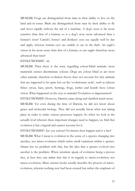MUSLIM: Frogs are distinguished from man in their ability to live on the : land and in water. Birds are distinguished from man by their ability to fly and move rapidly without the aid of a machine. A dog's nose is far more sensitive than that of a human, so is a dog's nose more advanced than a human's nose? Camels', horses' and donkeys' eyes see equally well by day and night, whereas human eyes are unable to see in the dark. An eagle's vision in far more acute than that of a human, so are eagles therefore more advanced than man?

#### EVOLUTIONIST: ok.

MUSLIM: Then there is the issue regarding colour-blind animals, most mammals cannot discriminate colours. Dogs are colour blind as are most other animals, therefore evolution theory does not account for why animals that are supposed to be quite low on the 'evolutionary scale', such as telecast fishes (trout, bass, perch, herring), frogs, turtles and lizards have colour vision. What happened on the way to animals? Evolution or degeneration?

EVOLUTIONIST: However, Darwin came along and clarified much more. : MUSLIM: Yet even during the time of Darwin, he did not know about genes and molecular biology. They did not actually know what was taking place in order to make various processes happen. So when we look at the actually level wherein these important changes need to happen, we find that evolution is but a legend and cannot account for it.

EVOLUTIONIST: Are you serious? Evolution does happen and is a fact! MUSLIM: What I mean is evolution in the sense of a species changing into another, not micro-evolution which refers small variations within a species. Islaam has no problem with this, but the idea that a species evolved into another is the problem. When scientists speak of evolution being a proven fact, at best they can admit that this is in regards to micro-evolution, not macro-evolution. Many science books usually describe the process of microevolution, wherein nothing new had been created but rather the emphasis of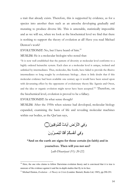a trait that already exists. Therefore, this is supported by evidence, as for a species into another then such as an amoeba developing gradually and mutating to produce diverse life. This is untenable, statistically impossible and as we will see, when we look at the biochemical level we find that there is nothing to support the theory of evolution at all! Have you read Michael Denton's work?

 ${\rm EVOLUTIONST: No, but I}$  have heard of him. $^{10}$ 

MUSLIM: He is a molecular biologist who noted that:

"It is now well established that the pattern of diversity at molecular level conforms to a highly ordered heirarchic system. Each class at a molecular level is unique, isolated and unlinked by intermediates. Thus, molecules, like fossils, have failed to provide the illusive intermediates so long sought by evolutionary biology…there is little doubt that if this molecular evidence had been available one century ago it would have been seized upon with devastating effect by the opponents of evolutionary theory like Agassiz and Owen, and the idea or organic evolution might never have been accepted."<sup>11</sup> Therefore, on the biochemical level, evolution is proved to be a fallacy.

EVOLUTIONIST: In what sense though?

MUSLIM: After the 1950s when science had developed, molecular biology expanded, examining the basis of life and revealing molecular machines within our bodies, as the Qur'aan says,

وَفِي الْأَرْضِ آيَاتٌ لِّلْمُوقِنِينَ() وَفِي أنفُسِكُمْ أفَلَا ثُبْصِرِرُونَ

**"And on the earth are signs for those certain (in faith) and in yourselves. Then will you not see?** 

*{adh-Dhaariyaat (51): 20-22}* 

<sup>&</sup>lt;sup>10</sup> Here, the one who claims to follow Darwinian evolution theory and is convinced that it is true is unaware of the evidence against it and the in-depth studies that fly in its face.

<sup>11</sup> Michael Denton, *Evolution – A Theory in Crisis* (London: Burnett, Books Ltd, 1985), pp.290-291.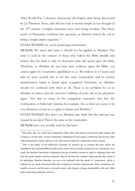After World War 2 electron microscopy developed, after being discovered by J.J Thomson. Now, cells did not look as merely simple as was thought in the 19<sup>th</sup> century. Complex structures were now being revealed. This threw much of Darwinian evolution into question, as Darwin viewed the cell as being a simple empty organism.<sup>12</sup>

EVOLUTIONIST: So you're proposing creationism?

MUSLIM: We reject this term, it should not be applied to Muslims. The term is used in the context of those who follow the Bible literally and believe that the earth is only six thousand years old, based upon the bible. Therefore, as Muslims do not base their evidence upon the Bible, you cannot apply the 'creationist' appellation to us. We believe in a Creator and that we were created, but as for this term 'creationism' and its current manifestation which is based upon evangelical Christians, we Muslims should not confused with them at all. There is no problem for us as Muslims to believe that the universe is billions of years old, as the physicists argue. Also due to some of the evangelical extremists that face the evolutionists in bible-belt America for example, this is what you seem to be very defensive of and try to apply to Islaam and Muslims.<sup>13</sup>

EVOLUTIONIST: But don't you Muslims also think that the universe was : created in six days? This is the same as the creationists.

MUSLIM: have you actually read the Our'aan?

<sup>&</sup>lt;sup>12</sup> Here then, the very claim that evolutionists make about their theory being based upon science and evidence, is in fact false. As the evolutionary explanation for the origins of functions are not up to date with contemporary science and are in fact still rooted in Darwin's nineteenth century context.

<sup>&</sup>lt;sup>13</sup> This is the reality, as the Bible-belt Christians of America are so extreme that they follow the unauthentic and contorted Bible literally and in some cases are totally against any sort of progress! As a result, the hardcore Darwinian evolutionists also go to another extreme in order to challenge them and thus also make equally extreme comments, that are far from the 'rational' behaviour that they claim to be upholding. Muslims therefore, are not to be confused with this brand of 'creationism' which is nothing but an Anglo-American bible-belt evangelical Christian phenomenon. Both persuasions are equally excessive and do more to present science and religion as being incompatible with each other and as each being mutually exclusive.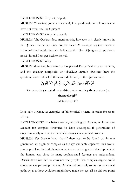EVOLUTIONIST: No, not properly.

MUSLIM: Therefore, you are not exactly in a good position to know as you have not even read the Qur'aan!

EVOLUTIONIST: Okay fair enough. :

MUSLIM: The Qur'aan does mention this, however it is clearly known in the Qur'aan that 'a day' does not just mean 24 hours, a day just means 'a period of time' as Muslims also believe in the 'Day of Judgement, yet this is not 24 hours! Let's get back to the cell.

EVOLUTIONIST: okay

MUSLIM: therefore, biochemistry has pushed Darwin's theory to the limit, and the amazing complexity or subcelluar organic structures begs the question, how could all of this evolved? Indeed, as the Qur'aan asks,

# أُمْ خُلِقُوا مِنْ غَيْرِ شَيْءٍ أُمْ هُمُ الْخَالِقُونَ

# **"Or were they created by nothing, or were they the creators (or themselves)?"**

*{at-Toor (52): 35}* 

Let's take a glance at examples of biochemical system, in order for us to reflect.

EVOLUTIONIST: But before we do, according to Darwin, evolution can : account for complex structures to have developed, if generations of organism slowly accumulate beneficial changes in a gradual process.

MUSLIM: Yet Darwin knew that if there was to be found within one generation an organ as complex as the eye suddenly appeared, this would pose a problem. Indeed, there is no evidence of the gradual development of the human eye, since its many sophisticated features are independent. Darwin therefore had to convince the people that complex organs could evolve in a step-by-step process. Darwin did not really try to discover a real pathway as to how evolution might have made the eye, all he did was point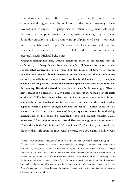at modern animals with different kinds of eyes (from the simple to the complex) and suggest that the evolution of the human eye might have evolved similar organs. To paraphrase of Darwin's argument: Although humans have complex camera-type eyes, many animals get by with less. Some tiny creatures have just a simple group of pigmented cells – not much more than a light sensitive spot. Yet such a simplistic arrangement does not account for vision, rather a sense of light and dark and meeting the creature's needs. Michael Behe notes:

**"Using reasoning like this, Darwin convinced many of his readers that an evolutionary pathway leads from the simplest light-sensitive spot to the sophisticated camera-like eye of man. But the question of how vision began remained unanswered. Darwin persuaded much of the world that a modern eye evolved gradually from a simpler structure, but he did not even try to explain where his starting point – the relatively simple light sensitive spot-came from. On the contrary, Darwin dismissed the question of the eye's ultimate origin: "How a nerve comes to be sensitive to light hardly concerns us more than how life itself originated."14 He had an excellent reason for declining the question: it was completely beyond nineteenth century science. How the eye works – that is, what happens when a photon of light first hits the retina – simply could not be answered at that time. As a matter of fact, no question about the underlying mechanisms of life could be answered. How did animal muscles cause movement? How did photosynthesis work? How was energy extracted from food? How did the body fight infection? No one knew."15** Therefore, the mistake of the scientists writing in the nineteenth century, who you claim to follow, was

<sup>&</sup>lt;sup>14</sup> Charles Darwin, *Origin of Species*, 6<sup>th</sup> ed. (New York: New York University Press, 1988), p.151

<sup>15</sup> Michael Behe, *Darwin's Black Box – The Biochemical Challenge to Evolution* (New York: Simon and Schuster, 1996) p. 18. Within this acclaimed book, the author, a biochemical professor at *Lehigh University,* totally took apart Darwin's theory of evolution and demonstrated that it is too outdated to account for the complexity of life on a biochemical level. Behe also noted how even though some Evolutionists talk about 'evidence', that in fact there has been no scientific studies at all to demonstrate how such irreducibly complex systems within the human body could have come into existence via Darwin's outdated and backward theory of evolution. The conclusion of this book is that there must be a Designer and Creator behind it.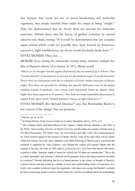that because they could not see or assess biochemical and molecular organisms, they simply brushed them under the carpet as being "simple." Time has demonstrated that his theory does not account for molecular structures. Darwin knew that his theory of gradual evolution by natural selection was shaky, noting: "If it could be demonstrated that any complex organ existed which could not possibly have been formed by numerous, successive, slight modifications, my theory would absolutely break down."<sup>16</sup> EVOLUTIONIST: Okay, but.....

MUSLIM: Even during the nineteenth century many scientists realised this flaw in Darwin's theory of evolution. In 1871, Mivart noted:

"What is to be brought forward (against Darwinism) may be summed up as follows: That "natural selection" is incompetent to account for the incipient stages of useful structures. That it does not harmonizes with the co-existence of closely similar structures of diverse origin. That there are grounds for thinking that specific differences may be developed suddenly instead of gradually…that certain fossil transitional forms are absent, which might have been expected to be present…that there are many remarkable phenomena in organic forms upon which "Natural Selection" throws no light whatsoever."<sup>17</sup>

EVOLUTIONIST: But Richard Dawkins<sup>18</sup> says that Bombardier Beetle is not a proof of the 'design' that you promote.

 $16$  Darwin, op. cit., p.154.

<sup>17</sup> St.George Mivart, *On the Genesis of Species* (London: Macmillan and Co., 1871), p.21.

<sup>&</sup>lt;sup>18</sup> The evolution fanatic and blind-follower of his 'Imaam', Charles Darwin, Dawkins is the Chair in the *Public Understanding of Science* at *Oxford University* and the author of a number of books such as *The Blind Watchmaker, The Selfish Gene, The God Delusion* and other works. He is characterised by his whole hearted support of the theories of Charles Darwin, some of his main ideas will be refuted within this treatise. He is the most vehement in his blind following of Darwin and is convinced that evolution is supported by 'clear evidence' even though this treatise will actually display that the contrary is the case. He wrote in 1989 (April 9, p.34) in the *New York Times* that anyone who denies evolution is either "ignorant, stupid or insane (or wicked, but I'd rather not consider that." This is the so-called 'rationality' and 'tolerance' which he and his groupies claim is the logical result for the belief in evolution!? Thereby indicating that he is a biased partisan to the school of thought of Darwin's evolution theory and thus resorts to a number of crass and condescending modes of contention. As a result, even a number of atheists reject his arguments, with some even saying that Dawkin's methods do more to encourage people to believe in the Creator! So even his own atheists throw his methodology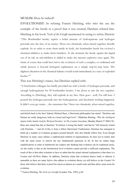#### MUSLIM: Does he indeed?

EVOLUTIONIST: In refuting Francis Hitching, who tries the use the : example of the beetle as a proof that it was created, Dawkins refuted him. Hitching in his book *Neck of the Giraffe* mentioned in trying to refute Darwin: "(The Bombardier beetle) squirts a lethal mixture of hydroquinone and hydrogen peroxide into the face of its enemy. These two chemicals, when mixed together, literally explode. So in order to store them inside its body, the bombardier beetle has evolved a chemical inhibitor to make them harmless. At the moment the beetle squirts the liquid out of its tail, an anti-inhibitor is added to make the mixture explosive once again. The chain of events that could have led to the evolution of such a complex, co-ordinated and subtle process is beyond biological explanation on a simple step-by-step basis. The slightest alteration in the chemical balance would result immediately in a race of exploded beetles."19

#### This was Hitching's stance, but Dawkins replied with:

"A biochemist colleague has kindly provided me with a bottle of hydrogen peroxide, and enough hydroquinone for 50 bombardier beetles. I am about to mix the two together. According to (Hitching), they will explode in my face. Here goes…well, I'm still here. I poured the hydrogen peroxide into the hydroquinone, and absolutely nothing happened. It didn't even get warm….the statement that "these two chemicals, when mixed together,

and beliefs back in his face! Indeed, Michael Ruse, a Darwinian philosopher has stated: "Dawkins and Dennet are really dangerous, both at a moral and legal level." (Madeline Bunting, '*Why the intelligent degisn lobby thanks God for Richard Dawkins'* in *The London Guardian*, Monday March 27 2006 CE). Ruse also stated that due to Dawkins "Evolution is losing the battle" and that he "felt intensely irrated with Dawkins..." and all of this is from a fellow Darwinian! Furthermore, Dawkins has managed to build up a number of evolution groupies around himself, who also blindly follow him. Even though Dawkins in many cases utilises a sophisticated method of argumentation, he does not in reality deal with the main issues or answer the key fundamental questions at all. In fact he makes huge simplifications in order to bamboozle his readers into thinking that evolution can be explained easily, yet the reality is that on the biochemical level evolution cannot provide a sufficient explanation. The result of this is that other scientists to have to admit that the actual rational explanation is that there is a Creator and All-Wise Maker. In addition, Dawkins claim that evolution theory leads to atheism is untenable as there are many belive who adhere to evolution theory yet still believe in the Creator! Or those who believe that there is proof for micro-evolution on a small scale and thus allow some room for evolution.

19 Francis Hitching, *The Neck of a Giraffe* (London: Pan, 1985), p.68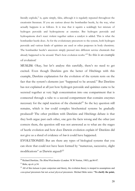literally explode," is, quite simply, false, although it is regularly repeated throughout the creationist literature. If you are curious about the bombardier beetle, by the way, what actually happens is as follows. It is true that it squirts a scaldingly hot mixture of hydrogen peroxide and hydroquinone at enemies. But hydrogen peroxide and hydroquinone don't react violent together unless a catalyst is added. This is what the bombardier beetle does. As for the evolutionary precursors to the system, both hydrogen peroxide and various kinds of quinines are used or other purposes in body chemistry. The bombardier beetle's ancestors simply pressed into different service chemicals that already happened to be around. That's how evolution works."<sup>20</sup> So this is an example of evolution!

MUSLIM: Okay, but let's analyse this carefully, there's no need to get excited. Even though Dawkins gets the better of Hitchings with this example, Dawkins explanation for the evolution of the system rests on the fact that the system's elements just "happened to be around." But Dawkins has not explained at all just how hydrogen peroxide and quinines came to be secreted together at very high concentration into one compartment that is connected through a tube to a second compartment that contains enzymes necessary for the rapid reaction of the chemicals!<sup>21</sup> So the key question still remains, which is *how* could complex biochemical systems be gradually produced? The other problem with Dawkins and Hitchings debate is that they both argue past each other, one gets the facts wrong and the other just corrects them, the question still was not answered as to what are the stages of beetle evolution and how does Darwin evolution explain it? Dawkins did not give us a shred of evidence of *how* it could have happened.

EVOLUTIONIST: But are there any types of biological systems that you : can show that could not have been formed by "numerous, successive, slight modifications" as Darwin argued? $2^{22}$ 

<sup>20</sup> Richard Dawkins*, The Blind Watchmaker* (London: W.W Norton, 1985), pp.86-87.

 $21$  Behe, op.cit. p.34.

<sup>&</sup>lt;sup>22</sup> All of this *kalaam* is pure conjecture and theory, the evolution theory is steeped in assumptions and *conceptual* precursors but not *actual physical* precursors. Michael Behe notes: **"To clarify the point,**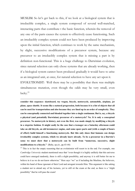MUSLIM: So let's get back to this, if we look at a biological system that is irreducible complex, a single system composed of several well-matched, interacting parts that contribute t the basic function, wherein the removal of any one of the parts causes the system to effectively cease functioning. Such an irreducibly complex system could not have been produced by improving upon the initial function, which continues to work by the same mechanism, by slight, successive modifications of a precursor system, because any precursor to an irreducibly complex system that is missing a part is by definition non-functional. This is a huge challenge to Darwinian evolution, since natural selection can only chose systems that are already working, then if a biological system cannot been produced gradually it would have to arise as an integrated unit, at once, for natural selection to have any act upon it. EVOLUTIONIST: Well there may be a possibility that there was multiple : simultaneous mutation, even though the odds may be very small, even  $luckv.<sup>23</sup>$ 

**consider this sequence: skateboard, toy wagon, bicycle, motorcycle, automobile, airplane, jet plane, space shuttle. It seems like a natural progression, both because it is a list of objects that all can be used for transportation and also because they are lined up in an order of complexity. They can be conceptually connected and blended together into a single continuum. But is, say, a bicycle a physical (and potentially Darwinian) precursor of a motorcycle? No. It is only a conceptual precursor. No motorcycle in history, not even the first, was made simply by modifying a bicycle in a stepwise fashion. It might easily be the case that a teenager on a Saturday afternoon could take an old bicycle, an old lawnmower engine, and some spare parts and (with a couple of hours of effort) build himself a functioning motorcycle. But this only shoes that humans can design irreducibly complex systems, which we already knew already. To be a precursor in a Darwin's sense we must show that a motorcycle can be built from "numerous, successive, slight modifications to a bicycle."** (Behe, op.cit., pp.43-44)

<sup>23</sup> This is in fact the empty reasoning that an evolutionist will resort to in the end. For example, one *Cambridge University* student mentioned once that "even though it is highly unlikely that this universe could have emerged randomly, there is still a slight possibility, and anyway it is still better for me to believe in it as we do not know otherwise." Here says "we" as if including the Muslims, the believers, within his band of those ignorant of their Lord and arrogant towards Him. This argument is like asking a student not to attend any of his lectures, yet to still sit the exam at the end, as there is a "slight possibility" that he will pass the exam!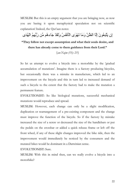MUSLIM: But this is an empty argument that you are bringing now, as now you are basing it upon metaphysical speculation not on scientific explanation! Indeed, the Qur'aan notes:

إن يَتَّبِعُونَ إِلَّا الظَّنَّ وَمَا تَهْوَى الْأَنفُسُ وَلَقَدْ جَاءهُم مِّن رَّبِّهِمُ الْهُدَى

**"They follow not except assumption and what their souls desire, and there has already come to them guidance from their Lord."** 

*{an-Najm (53): 23}* 

So let us attempt to evolve a bicycle into a motorbike by the 'gradual accumulation of mutations'. Imagine there is a factory producing bicycles, but occasionally there was a mistake in manufacture, which led to an improvement on the bicycle and this in turn led to increased demand of such a bicycle to the extent that the factory had to make the mutation a permanent feature.

EVOLUTIONIST: So like biological mutations, successful mechanical : mutations would reproduce and spread.

MUSLIM: However, each change can only be a slight modification, duplication or rearrangement of a pre-existing component and the change must improve the function of the bicycle. So if the factory by mistake increased the size of a screw or decreased the size of the handlebars or put the pedals on the crossbar or added a quick release frame or left off the front wheel, if any of these slight changes improved the bike ride, then the improvement would immediately be noticed by the consumers and the mutated bikes would be dominant in a Darwinian sense.

EVOLUTIONIST: Sure.

MUSLIM: With this in mind then, can we really evolve a bicycle into a motorbike?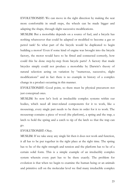EVOLUTIONIST: We can move in the right direction by making the seat : more comfortable in small steps, the wheels can be made bigger and adapting the shape, through slight successive modifications.

MUSLIM: But a motorbike depends on a source of fuel, and a bicycle has nothing whatsoever that could be adapted or modified to become a gas or petrol tank! So what part of the bicycle would be duplicated to begin building a motor? Even if some kind of engine was brought into the bicycle factory, the motor would have to be fitted and connected correctly, how could this be done step-by-step from bicycle parts? A factory that made bicycles simply could not produce a motorbike by Darwin's theory of natural selection acting on variation by "numerous, successive, slight modifications" and in fact there is no example in history of a complex change in a product occurring in this manner.

EVOLUTIONIST: Good point, so there must be physical precursors not : just conceptual ones.

MUSLIM: So now let's look at irreducible complex systems within our bodies, which need all inter-related components for it to work, like a mousetrap, every single part needs to be there in order for it to work. The mousetrap contains a piece of wood (the platform), a spring and the trap, a latch to hold the spring and a catch to tip of the latch so that the trap can go.

### EVOLUTIONIST: Okay.

MUSLIM: If we take away any single bit then it does not work and function, it all has to be put together in the right place at the right time. The spring has to be of the right strength and tension and the platform has to be of a certain solid form. This is a simple example of an irreducibly complex system wherein every part has to be there exactly. The problem for evolution is that when we begin to examine the human being or an animals and primitive cell on the molecular level we find many irreducible complex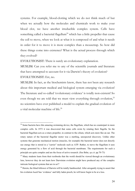systems. For example, blood-clotting which we do not think much of but when we actually how the molecules and chemicals work to make your blood clot, we have another irreducible complex system. Cells have something called a bacterial flagellum<sup>24</sup> which has a little propeller that cause the cell to move, when we look at what it is composed of and what it needs in order for it to move it is more complex than a mousetrap. So how did these things come into existence? What is the actual process through which they evolved?

EVOLUTIONIST: There is surely an evolutionary explanation.

MUSLIM: Can you refer me to any of the scientific journals and literature that have attempted to account for it via Darwin's theory of evolution? EVOLUTIONIST: Err, no. :

MUSLIM: In fact, as the biochemists know, there has not been any research : about this important medical and biological system emerging via evolution! The literature and so-called 'evolutionary evidence' is totally non-existent! So even though we are told that we must view everything through evolution,  $2^5$ no scientists have ever published a model to explain the gradual evolution of a vital molecular machine of life.<sup>26</sup>

<sup>&</sup>lt;sup>24</sup> Some bacteria have this amazing swimming device, the flagellum, which has no counterpart in more complex cells. In 1973 it was discovered that some cells swim by rotating their flagella. So the bacterial flagellum acts as a rotary propeller, in contrast to the cilium, which acts more like an oar. The rotary nature of the bacterial flagellar motor was a startling, unexpected discovery. Unlike other systems that generate mechanical motion (muscles, for example) the bacterial motor does not directly use energy that is stored in a "carrier" molecule such as ATP. Rather, to move the flagellum it uses energy generated by a flow of acid through the bacterial membrane. The requirements for such a principle are quite complex and are the focus of active research. (See Behe, *op.cit.* pp.70-73)

 $25$  Many students learn from their textbooks that the world should be viewed through an evolutionary lens, however they do not learn how Darwinian evolution might have produced any of the complex intricate biological systems that are in us!?

<sup>&</sup>lt;sup>26</sup> Herein, the blind follower of Darwin will be totally bamboozled. After arrogantly trying to assert that his evolution *baatil* has 'evidence' and fully laden proofs, he will know begin to be at a loss.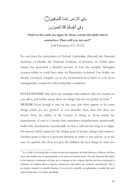# وَفِي الْمَأْرُضِ آيَاتٌ لِّلْمُوقِنِينَ() وَفِي أَنفُسِكُمْ أَفَلَا ثُبْصِرِرُونَ

**"And on the earth are signs for those certain (in faith) and in yourselves. Then will you not see?"** 

*{adh-Dhaariyaat (51): 20-22}* 

No one from the universities of Oxford, Cambridge, Harvard, the National Institutes of Health, the National Academy of Sciences, no Nobel prize winner has presented a detailed account of how the complex biological systems within us could have arise via Darwinian evolution! Our bodies are already extremely complex yet at the biochemical level there is even more unimaginable complexity with irreducible complexity.

EVOLUTIONIST: But there are examples that indicate that the creation as : you call it, and within nature there are things that are not perfect in form.<sup>27</sup> MUSLIM: Even though it may be the case that there appear to be some things which are not 'perfect' as you describe them then this does not detract from the ability of the Creator in doing so. Even within the manufacture of cars it is known that sometimes manufacturers intentionally build with obsolescence intentionally so that it will not last long as it might, for reasons which supersede the simple goal of 'perfect design and creation.' Another point is that it is personal decision in order to test and try, as in the case of a parent who does not give his children the best things in order not

 $27$  As a result of not being able to refute the previous argument, the blind follower of Darwin will then move onto another line of argumentation to try and cover her/his tracks. The only thing that the atheist or the hardcore evolutionist will thus say in response to the evidence that has just been mentioned in refutation of evolution theory is that the creation just came about into existence, miraculously. This is not logical, rational or scientific because if we are to be scientific an explanation is needed, the most logical being there is a Creator and Maker.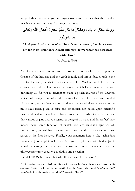to spoil them. So what you are saying overlooks the fact that the Creator may have various motives. As the Qur'aan says…

ϰ˴ϟΎ˴ό˴Η˴ϭ ˶Ϫ͉Ϡϟ ˴ϥΎ˴Τ˸Β˵γ ˵Γ˴ή˴ϴ˶Ψ˸ϟ ˵Ϣ˵Ϭ˴ϟ ˴ϥΎ˴ϛ Ύ˴ϣ ˵έΎ˴Θ˸Ψ˴ϳ˴ϭ ˯Ύ˴θ˴ϳ Ύ˴ϣ ˵ϖ˵Ϡ˸Ψ˴ϳ ˴Ϛ͊Α˴έ˴ϭ ˴ϥϮ˵ϛ˶ή˸θ˵ϳ Ύ͉Ϥ˴ϋ

**"And your Lord creates what He wills and chooses; the choice was not for them. Exalted is Allaah and high above what they associate with Him."**

*{al-Qasas (28): 68}* 

Also for you to even attempt to make some sort of psychoanalysis upon the Creator of the heavens and the earth is futile and impossible, as unless the Creator has *told* you what His reasons are. For Muslims we hold that the Creator has told mankind as to the reasons, which I mentioned at the very beginning. So for you to attempt to make a psychoanalysis of the Creator, whilst not having even bothered to search for where He may have revealed His wisdom, and to then reason that due to perceived 'flaws' there evolution must have taken place, is false and emotional, not based upon scientific proof and evidence which you claimed to adhere to. Also it may be the case that various organs that you regard as being of no value and 'imperfect' may indeed have some function of which you are currently ignorant of. Furthermore, you still have not accounted for how the functions could have arisen in the first instance! Finally, your argument here is like saying just because a photocopier makes a dozen good copies and one bad copy, it would be wrong for me to use the smeared copy as evidence that the photocopier came about via evolution and selection!

EVOLUTIONIST: Yeah, but who then created the Creator.<sup>28</sup>

<sup>&</sup>lt;sup>28</sup> After having been forced back into his position and not be able to bring any evidence for his argument, Shaytaan will come to this individual, as the Prophet Muhammad *(sallallaahu alayhi wassallam)* informed of, and whisper to him "Who created Allaah?"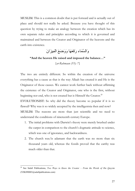MUSLIM: This is a common doubt that is put forward and is actually out of place and should not really be asked. Because you have thought of this question by trying to make an analogy between the creation which has its own separate rules and principles according to which it is governed and maintained and between the Creator and Originator of the heavens and the earth into existence.

وَالسَّمَاء رَفَعَهَا وَوَضَعَ الْمِيزَانَ

**"And the heaven He raised and imposed the balance…"** 

*{ar-Rahmaan (55): 7}* 

The two are entirely different. So within the creation of the universe everything has a cause as that is the way Allaah has created it and He is the Originator of those causes. We cannot work further back without affirming the existence of the Creator and Originator, one who is the first, without beginning nor end, who is not created but is Himself the Creator.<sup>29</sup>

EVOLUTIONIST: So why did the theory become so popular if it is so : flawed? Why was it so widely accepted by the intelligentsia then and now? MUSLIM: The reasons are more than just scientific and we need to understand the conditions of nineteenth century Europe.

- 1. The initial problems with Darwin's theory were merely brushed under the carpet in comparison to the church's dogmatic attitude to science, which was one of ignorance, and backwardness.
- 2. The church was/is adamant that the earth was no more than six thousand years old, whereas the fossils proved that the earthy was much older than that.

<sup>29</sup> See Salafi Publications, *Two Ways to Know the Creator – From the Words of Ibn Qayyim* (TZK090003@salafipublcations.com)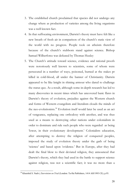- 3. The established church proclaimed that species did not undergo any change where as production of varieties among the living organisms was a well known fact.
- 4. In that suffocating environment, Darwin's theory must have felt like a new breath of fresh air in comparison of the church's static view of the world with no progress. People took on atheism therefore because of the church's stubborn stand against science. Bishop Samuel Wilberforce was defeated by Thomas Huxley
- 5. The Church's attitude toward science, evidence and rational proofs were notoriously well known to scientists, some of whom were persecuted in a number of ways, poisoned, burned at the stakes pr killed in cold-blood, all under the banner of Christianity. Darwin appeared to be like knight in shining armour who dared to challenge the status quo. As a result, although some in-depth research has led to many discoveries in recent times which has uncovered basic flaws in Darwin's theory of evolution, prejudice against the Western church and forms of Western evangelism and literalism clouds the minds of the neo-evolutionists.<sup>30</sup> Evolution itself would later be used as an act of vengeance, replacing one orthodoxy with another, and was thus used as a means to destroying other nations under colonialism in order to dominate and rule such people who were regarded as being 'lower, in their evolutionary development.' Colonialists education, after attempting to destroy the religion of conquered peoples, imposed the study of evolution theory under the garb of being 'science' and based upon 'evidence.' But in Europe, after they had dealt the final blow to their deviated religion, they announced that Darwin's theory, which they had used in the battle to support science against religion, was not a scientific fact; it was no more than a

<sup>30</sup> Khurshid S. Nadvi, *Darwinism on Trial* (London: Ta-Ha Publishers, 1414 AH/1993 CE), p.93.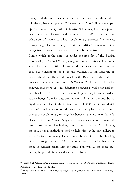theory, and the more science advanced, the more the falsehood of this theory became apparent.<sup>31</sup> In Germany, Adolf Hitler developed upon evolution theory, with his bizarre Nazi concept of the superior race placing the Germans at the very top!? In 1906 CE here was an exhibition of man's so-called "evolutionary ancestors" monkeys, chimps, a gorilla, and orang-utan and an African man named Ota benga from a tribe of Bushmen. He was brought from the Belgian Congo which at the time was under the iron-fist of the Belgian colonialists, by Samuel Verner, along with other pygmies. They were all displayed in the 1904 St. Louis world's fair. Ota Benga was born in 1881 had a height of 4ft. 11 in and weighed 103 lbs. after the St. Louis exhibition, Ota found himself at the Bronx Zoo which at that time was under the direction of Dr William T. Hornaday. Hornaday believed that there was "no difference between a wild beast and the little black man." Under the threat of legal action, Hornday had to release Benga from his cage and let him walk about the zoo, but at night he would sleep in the monkey house. 40,000 visitors would visit the zoo's monkey house in order to see what they had been informed of was the evolutionary missing link between ape and man, the wild black man from Afirca. Benga was thus chased about, poked at, proded, tripped up, laughed at, jeered at and yelled at. After leaving the zoo, several institutions tried to help him yet he quit college to work in a tobacco factory. He later killed himself in 1916 by shooting himself through the heart.<sup>32</sup> Other evolutionist textbooks also equate those of African origin with the ape!? This was all the more true during the period Darwin's ideas came to fruition.

<sup>31 &#</sup>x27;Umar S. al-Ashqar, *Belief in Allaah, Islamic Creed Series – Vol.1* (Riyadh: International Islamic Publishing House, 2003) pp.142-143.

<sup>32</sup> Philip V. Bradford and Harvey Blume*, Ota Benga – The Pygmy in the Zoo* (New York: St Martins, 1992).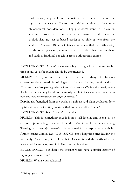6. Furthermore, why evolution theorists are so reluctant to admit the signs that indicate a Creator and Maker is due to their own philosophical considerations. They just don't want to believe in anything outside of 'nature' that affects nature. In this way the evolutionists are just as biased partisans as bible-bashers from the southern American Bible-belt states who believe that the earth is only six thousand years old, coming with a prejudice that restricts them and leads to irrational behaviour from both partisan camps.

EVOLUTIONIST: Darwin's ideas were highly original and unique for his : time in any case, for that he should be commended.

MUSLIM: Are you sure that this is the case? Many of Darwin's contemporaries accused him of plagiarism. Francis Hitching mentions this,

"It is one of the less pleasing sides of Darwin's otherwise affable and scholarly nature that he could never bring himself to acknowledge a debt to the many predecessors in his field who were puzzling about the origin of species."33

Darwin also benefited from the works on animals and plant evolution done by Muslim scientists. Did you know that Darwin studied Arabic?

EVOLUTIONIST: Really? I didn't know that.

MUSLIM: This is something that it is not well known and seems to be covered up to a large extent. He studied Arabic while he was studying Theology at *Cambridge University*. He remained in correspondence with his Arabic teacher Samuel Lee (1783-1852 CE) for a long time after leaving the university. As a result, it is likely that Darwin studied the textbooks that were used for studying Arabic in European universities.

EVOLUTIONIST: But didn't the Muslim world have a similar history of : fighting against science?

MUSLIM: What's your evidence?

<sup>33</sup> Hitching, *op.cit.* p.227.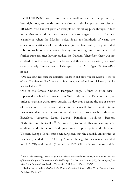EVOLUTIONIST: Well I can't think of anything specific example off my : head right now, yet the Muslims have also had a similar approach to science. MUSLIM: You haven't given an example of this taking place though. In fact in the Muslim world there was no such aggression against science. The best example is when the Muslims ruled Spain for hundreds of years, the educational curricula of the Muslims (in the ten century CE) included subjects such as mathematics, botany, zoology, geology, medicine and further subjects, after having studied the Qur'aan. Therefore, there was no contradiction in studying such subjects and this was a thousand years ago! Comparatively, Europe was still slumped in the Dark Ages. Pimienta-Bey notes:

"One can easily recognise the historical foundation and prototype for Europe's concept of the "Renaissance Man," in the societal reality and educational philosophy of the medieval Moors."<sup>34</sup>

One of the famous Christian European kings, Alfonso X ("the wise") supported a school of translators at Toledo during the 13 century CE, in order to translate works from Arabic. Toldeo thus became the major centre of translation for Christian Europe and as a result Toledo became more productive than other centres of translation in Europe such as those in Barcelona, Tarazona, Leon, Segovia, Pamplona, Toulouse, Beziers, Narbonne and Marseilles.<sup>35</sup> Alfonso X promoted Muslim learning and erudition and his actions had great impact upon Spain and ultimately Western Europe. It has thus been suggested that the Spanish universities at Palencia (founded in 1214 CE by Alfonso the eighth), Salamanca (founded in 1215 CE) and Lerida (founded in 1300 CE by Jaime the second in

<sup>34</sup> Jose V. Pimienta-Bey, *"Moorish Spain – Academic Source and Foundation for the Rise and Success of Western European Universities in the Middle Ages"* in Ivan Van Sertima (ed.), *Golden Age of the Moor* (New Brunswick and London: Transaction Publishers, 1992), pp.168-247.

<sup>35</sup> Charles Homer Haskins, *Studies in the History of Medieval Science* (New York: Frederick Ungar Publishers, 1960), p.17.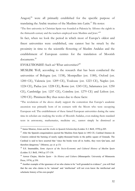Aragon)<sup>36</sup> were all primarily established for the specific purpose of translating the Arabic treatises of the Muslims into Latin.<sup>37</sup> He notes: "The first university in Christian Spain was founded at Palencia by Alfonso the eighth in the thirteenth century and the teachers employed were Muslims and Jews."<sup>38</sup>

In fact, when we look the period in which most of Europe's oldest and finest universities were established, one cannot but be struck by the proximity in time to the scientific flowering of Muslim Andalus and the establishment of European centres for the translation of Moorish documents.39

EVOLUTIONIST: Such as? What universities?<sup>40</sup>

MUSLIM: Well, according to the research that has been conducted the universities of Bologna (est. 1158), Montpellier (est. 1180), Oxford (est. 1200 CE), Valencia (est. 1209 CE), Toulouse (est. 1223 CE), Naples (est. 1224 CE), Padua (est. 1228 CE), Rome (est. 1245 CE), Salamanca (est. 1250 CE), Cambridge (est. 1257 CE), Coimbra (est. 1279 CE) and Lisbon (est. 1290 CE). Pimiment-Bey thus notes due to these facts:

"The revelations of the above clearly support the contention that Europe's academic ascension was primarily born of its contacts with the Moors who were occupying European soil. The establishment of these famed European universities during the same time its scholars are studying the works of Moorish Andalus, even making them standard texts in astronomy, mathematics, medicine etc., cannot simply be dismissed as

<sup>36</sup> James Monroe, *Islam and the Arabs in Spanish Scholarship* (Leiden: E.J. Brill, 1970) p.205.

<sup>&</sup>lt;sup>37</sup> After the Spanish conquistadores ejected the Muslims from Spain in 1492 CE, Cardinal Jimenez de Cisneros ordered the burning of nearly eighty-thousand books in the public square of Granada. The Cardinal is said to have asserted that "since the books were all in Arabic, they were Qur'aans, and therefore dangerous." (Monroe, *op cit.* p.13)

<sup>38</sup> S.S. Imamuddin, *Some Aspects of the Socio-Economic and Cultural History of Muslim Spain* (Leiden: E.J. Brill, 1965) p.137-138.

<sup>39</sup> Anwar Chejne, *Muslim Spain – Its History and Cultur*e (Minneapolis: University of Minnesota Press, 1974), p.350.

<sup>&</sup>lt;sup>40</sup> Another example of the ignorance of on who claims to be "well grounded in evidence", you will find that the one who claims to be 'rational' and 'intellectual' will not even know the intellectual and scholastic history of his own people!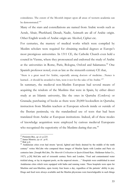coincidence. The extent of the Moorish impact upon all areas of western academia can be demonstrated."<sup>41</sup>

Many of the stars and constellations are named from Arabic words such as Acrab, Altair, Pherkhard, Denab, Nadir, Azimuth are all of Arabic origin. Other English words of Arabic origin are Alcohol, Cipher etc.

For centuries, the mastery of medical works which were compiled by Muslim scholars were required for obtaining medical degrees at Europe's most prestigious universities. In 1311 CE, the Catholic Church even held a council in Vienne, where they pronounced and endorsed the study of Arabic at the universities in Rome, Paris, Bologna, Oxford and Salamanca.<sup>42</sup> One Spanish professor noted, even as late as the sixteenth century CE that,

"there is a great need for Arabic, especially among doctors of medicine…Nunez is learned…it should be awarded to him, were it not for the sake of his Arabic."<sup>43</sup>

In summary, the medieval non-Muslim European had several means of acquiring the wisdom of the Muslims that were in Spain, by either direct study at an Islamic university, like the ones in Qurtuba (Cordova) or Granada; purchasing of books as there were 20,000 booksellers in Qurtuba; instruction from Muslim teachers at European schools inside or outside of the Iberian peninsula; via the standardised use of texts that had been translated from Arabic at European institutions. Indeed, all of these modes of knowledge acquisition were employed by curious medieval Europeans who recognised the superiority of the Muslims during that era.<sup>44</sup>

<sup>41</sup> Pimiento-Bey, *op cit.* p.225. 42 James Monroe, *op cit.* p.41. 43 Ibid. p.4.

<sup>&</sup>lt;sup>44</sup> Andalusian cities even had streets "paved, lighted and finely drained by the middle of the tenth century" writes McCabe who compared these images of Muslim Spain with London and Paris siz centuries later. [Joseph McCabe, *The Moorish Civilisation in Spain* (Girard Kan.: Haldemar-Julius Co., 1927), p.20] McCabe said of sixteenth century Paris and London, "Foul and contaminated water trickled along, or lay in stagnant pools, on the unpaved streets…." Hospitals were established in most Andalusian cities which were equipped with baths and running water. These hospitals were open for Muslims and non-Muslims, open twenty four hours a day, regardless of the patients' ability to pay. Drugs and food were always available and the Muslim physicians were knowledgeable in such things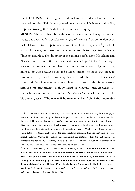EVOLUTIONIST: But religion's irrational roots breed intolerance to the : point of murder. This is as opposed to science which breeds rationality, empirical investigation, neutrality and non-biased enquiry.

MUSLIM: This may have been the case with religion and may be present : today, but been modern secular campaigns of terror and extermination even make Islamic terrorist operations seem miniscule in comparison!45 Just look at the Nazi's reign of terror and the communist atheist despotism of Stalin, Pinochet and Mao. The dropping of the atomic bombs upon Hiroshima and Nagasaki have been justified on a secular basis not upon religion. The major wars of the last one hundred have had nothing to do with religion in fact, more to do with secular power and politics! Hitler's methods owe more to evolution theory than to Christianity. Michael Burliegh in his book *The Third Reich – A New History* notes about Hitler: **"In reality his views were a mixture of materialist biology…and a visceral anti-clericalism."** Burleigh goes on to quote from Hitler's *Table Talk* in which the Fuhrer tells his dinner guests: **"The war will be over one day. I shall then consider** 

as blood circulation, measles, and small-pox. (Chejne, *op cit.* p.352) Muslim society in Spain enjoyed recreations such as horse racing, marksmanship, polo etc. there were also literary salons attended by the learned. There were also public baths *(hammaamaat)* with separate facilities for men and women, this remains in Muslim countries such as Morocco. In contrast with the Muslim regard for hygiene and cleanliness, was the contempt for it in western Europe at the time of th Muslim rule of Spain, in fact the public baths were totally destroyed by the conquistadores, indicating their ignorant mentality. The English historian, Charles H. Haskins, also highlighted the contempt which the vast majority of Europeans had for bathing. (Haskins, *op cit.* p.257) also see Terence McLaughlin's historical study *Dirt – A Social History as Seen Through the Uses and Abuses of Dirt*.

<sup>45</sup> Dominc Lawson writing in *The Independent* (of London) noted: **"…the modern era has dwarfed those crimes with the countless millions slaughtered or starved at the hands of purely secular powers: not just the Nazis but also by the Cardinals of Communism, Josef Stalin and Mao Zedong. What these campaigns of extermination demonstrate – campaigns compared to which the annihilation of the World Trade Centre by the Islamic fundamentalist Bin Laden was a mere bagatelle…"** (Dominic Lawson, *"An unbeliever's defence of religious faith"* in the London *Independent*, Tuesday, 17 January 2006, p.29)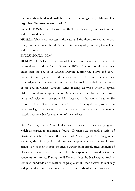# **that my life's final task will be to solve the religious problem…The organised lie must be smashed…"**

EVOLUTIONIST: But do you not think that science promotes non-bias : and hard solid facts?

MUSLIM: This is not necessary the case and the theory of evolution that you promote so much has done much in the way of promoting inequalities and oppression.

#### EVOLUTIONIST: How?

MUSLIM: The 'selective' breeding of human beings was first formulated in : the modern period by Francis Galton in 1865 CE, who ironically was none other than the cousin of Charles Darwin! During the 1860s and 1870s Francis Galton systematized these ideas and practices according to new knowledge about the evolution of man and animals provided by the theory of his cousin, Charles Darwin. After reading Darwin's *Origin of Species*, Galton noticed an interpretation of Darwin's work whereby the mechanisms of natural selection were potentially thwarted by human civilization. He reasoned that, since many human societies sought to protect the underprivileged and weak, those societies were at odds with the natural selection responsible for extinction of the weakest.

Nazi Germany under Adolf Hitler was infamous for eugenics programs which attempted to maintain a "pure" German race through a series of programs which ran under the banner of "racial hygiene." Among other activities, the Nazis performed extensive experimentation on live human beings to test their genetic theories, ranging from simple measurement of physical characteristics to the more horrific experiments carried out in the concentration camps. During the 1930s and 1940s the Nazi regime forcibly sterilized hundreds of thousands of people whom they viewed as mentally and physically "unfit" and killed tens of thousands of the institutionalized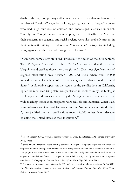disabled through compulsory euthanasia programs. They also implemented a number of "positive" eugenics policies, giving awards to *"Aryan"* women who had large numbers of children and encouraged a service in which "racially pure" single women were impregnated by SS officers!? Many of their concerns for eugenics and racial hygiene were also explicitly present in their systematic killing of millions of "undesirable" Europeans including Jews, gypsies and the disabled during the Holocaust.46

In America, some states sterilized "imbeciles" for much of the 20th century. The *US Supreme Court* ruled in the 1927 *Buck v. Bell* case that the state of Virginia could sterilize those they thought unfit. The most significant era of eugenic sterilization was between 1907 and 1963 when over 64,000 individuals were forcibly sterilized under eugenic legislation in the United States.<sup>47</sup> A favorable report on the results of the sterilizations in California, by far the most sterilizing state, was published in book form by the biologist Paul Popenoe and was widely cited by the Nazi government as evidence that wide-reaching sterilization programs were feasible and humane!! When Nazi administrators went on trial for war crimes in Nuremberg after World War 2, they justified the mass-sterilizations (over 450,000 in less than a decade) by citing the United States as their inspiration.<sup>48</sup>

<sup>46</sup> Robert Proctor, *Racial Hygiene: Medicine under the Nazis* (Cambridge, MA: Harvard University Press, 1988).

<sup>&</sup>lt;sup>47</sup> Some 60,000 Americans were forcibly sterilized in eugenic campaigns organized by American corporate philanthropic organizations such as the *Carnegie Institution* and the *Rockefeller Foundation*. The program was then transplanted to Germany where the *Rockefeller Foundation* and American eugenicists founded and funded Nazi eugenics. See: Edwin Black, *War Against the Weak: Eugenics and America's Campaign to Create a Master Race* (Four Walls Eight Windows, 2003).

<sup>&</sup>lt;sup>48</sup> For more on the connections between the U.S. and Nazi eugenics and eugenicists see Stefan Kühl, *The Nazi Connection: Eugenics, American Racism, and German National Socialism* (New York: Oxford University Press, 1994).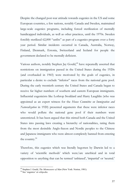Despite the changed post-war attitude towards eugenics in the US and some European countries, a few nations, notably Canada and Sweden, maintained large-scale eugenics programs, including forced sterilization of mentally handicapped individuals, as well as other practices, until the 1970s. Sweden forcibly sterilized 62,000 "unfits" as part of a eugenics program over a forty year period. Similar incidents occurred in Canada, Australia, Norway, Finland, Denmark, Estonia, Switzerland and Iceland for people the government declared to be mentally deficient.

Various authors, notably Stephen Jay Gould,<sup>49</sup> have repeatedly asserted that restrictions on immigration passed in the United States during the 1920s (and overhauled in 1965) were motivated by the goals of eugenics, in particular a desire to exclude "inferior" races from the national gene pool. During the early twentieth century the United States and Canada began to receive far higher numbers of southern and eastern European immigrants. Influential eugenicists like Lothrop Stoddard and Harry Laughlin (who was appointed as an expert witness for the *House Committee on Immigration and Naturalization* in 1920) presented arguments that these were inferior races who would pollute the national gene pool if their numbers went unrestricted. It has been argued that this stirred both Canada and the United States into passing laws creating a hierarchy of nationalities, rating them from the most desirable Anglo-Saxon and Nordic peoples to the Chinese and Japanese immigrants who were almost completely banned from entering the country. $50$ 

Therefore, this eugenics which was literally begotten by Darwin led to a variety of 'scientific methods' which were/are unethical and in total opposition to anything that can be termed 'unbiased', 'impartial' or 'neutral.'

<sup>&</sup>lt;sup>49</sup> Stephen J. Gould, *The Mismeasure of Man* (New York: Norton, 1981).<br><sup>50</sup> See 'eugenics' at *wikipedia*.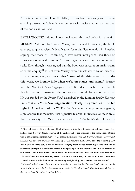A contemporary example of the fallacy of this blind following and trust in anything deemed as 'scientific' can be seen with racist theories such as that of the book *The Bell Curve*.

EVOLUTIONIST: I do not know much about this book, what is it about?

MUSLIM: Authored by Charles Murray and Richard Herrnstein, the book attempts to give a scientific justification for racial discrimination in America arguing that those of African origin have lower intelligence than those of European origin, with those of African origin the lowest in the evolutionary scale. Even though it was argued that the book was based upon 'mainstream scientific enquiry'51 in fact even Murray, who himself was is by no means a scientist in any case, mentioned that **"Some of the things we read to do this work, we literally hide when we're on planes and trains,"** Murray told the *New York Times Magazine* (10/9/94). Indeed, much of the research that Murray and Herrnstein relied on for their central claims about race and IQ was funded by the *Pioneer Fund*, described by the London *Sunday Telegraph* (3/12/89) as a **"neo-Nazi organization closely integrated with the far right in American politics."**<sup>52</sup> The fund's mission is to promote eugenics, a philosophy that maintains that "genetically unfit" individuals or races are a threat to society. The *Pioneer Fund* was set up in 1937 by Wickliffe Draper, a

<sup>&</sup>lt;sup>51</sup> After publication of the book, many blind followers of it in the US media claimed, even though they had not read it or were totally ignorant of the background of the financers of the book, claimed that it was a 'mainstream scientific study' (!?). Nicholas Lemann in '*The Bell Curve Flattened - Subsequent research has seriously undercut the claims of the controversial best seller'*, notes the following: *The Bell Curve***, it turns out, is full of mistakes ranging from sloppy reasoning to mis-citations of sources to outright mathematical errors. Unsurprisingly, all the mistakes are in the direction of supporting the authors' thesis…Meanwhile, the psychometricians who dominate the footnotes of** *The Bell Curve* **are John Hunter, Arthur Jensen, Malcolm Ree, and Frank Schmidt. These men are well known within the field as representing its right wing, not a mainstream consensus."**

<sup>52</sup> Much of the background facts regarding the racist pseudo-scientific *'Pioneer Fund'* in this section is from Jim Naureckas, *"Racism Resurgent: How Media Let The Bell Curve's Pseudo-Science Define the Agenda on Race"* in *Extra!* (Jan/Feb. 1995).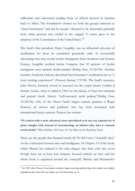millionaire who advocated sending those of African descent in America back to Africa. The foundation's charter set forth the group's missions as "racial betterment" and aid for people "deemed to be descended primarily from white persons who settled in the original 13 states prior to the adoption of the Constitution of the United States."<sup>53</sup>

The fund's first president, Harry Laughlin, was an influential advocate of sterilization for those he considered genetically unfit. In successfully advocating laws that would restrict immigrants from Southern and Eastern Europe, Laughlin testified before Congress that 83 percent of Jewish immigrants were innately feeble-minded (*Rolling Stone*, 10/20/94). Another founder, Frederick Osborn, described Nazi Germany's sterilization law as "a most exciting experiment" (*Discovery Journal***,** 7/9/94). The fund's treasurer, John Trevor, formerly served as treasurer for the crypto-fascist *Coalition of Patriotic Societies*, when it called in 1962 for the release of Nazi war criminals and praised South Africa's "well-reasoned racial policies"(*Rolling Stone*, 10/20/94). One of the *Pioneer Fund*'s largest current grantees is Roger Pearson, an activist and publisher who has been associated with international fascist currents. Pearson has written:

**"If a nation with a more advanced, more specialized or in any way superior set of genes mingles with, instead of exterminating, an inferior tribe, then it commits racial suicide."** (Russ Bellant, *Old Nazis, the New Right and the Republican Party*).

These are the people that financed nearly all *The Bell Curve's* "scientific data" on the connection between race and intelligence. In Chapter 13 of the book, which Murray has claimed is the only chapter that deals with race (even though there are at least four chapters focused entirely on race, and the whole book is organized around the concept!!) Murray and Herrnstein's

<sup>53</sup> In 1985, after *Pioneer Fund* grant recipients began receiving political heat, the charter was slightly amended to play down the race angle, see: Jim Naureckas, *op cit.*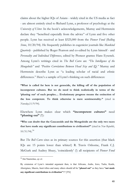claims about the higher IQs of Asians - widely cited in the US media as fact - are almost entirely cited to Richard Lynn, a professor of psychology at the *University of Ulster*. In the book's acknowledgements, Murray and Herrnstein declare they "benefited especially from the advice" of Lynn and five other people. Lynn has received at least \$325,000 from the *Pioneer Fund* (*Rolling Stone*, 10/20/94). He frequently publishes in eugenicist journals like *Mankind Quarterly* - published by Roger Pearson and co-edited by Lynn himself - and *Personality and Individual Differences*, edited by Pioneer grantee Hans Eysenck. Among Lynn's writings cited in *The Bell Curve* are *"The Intelligence of the Mongoloids"* and *"Positive Correlations Between Head Size and IQ."* Murray and Herrnstein describe Lynn as "a leading scholar of racial and ethnic differences." Here's a sample of Lynn's thinking on such differences:

**"What is called for here is not genocide, the killing off of the population of incompetent cultures. But we do need to think realistically in terms of the 'phasing out' of such peoples.... Evolutionary progress means the extinction of the less competent. To think otherwise is mere sentimentality."** (cited in *Newsday*,11/9/94).

Elsewhere Lynn makes clear which **"incompetent cultures"** need **"phasing out"** (!!):

**"Who can doubt that the Caucasoids and the Mongoloids are the only two races that have made any significant contributions to civilization?"** (cited in *New Republic*, 10/31/94). 54

But *The Bell Curve* cites as its primary sources for this assertion (that black IQs are 15 points lower than whites!) R. Travis Osborne, Frank C.J. McGurk and Audrey Shuey, 'coincidently' (!) all recipients of *Pioneer Fund*

<sup>54</sup> Jim Naureckas, *op cit.*

By extension of Lynn's intended argument then, is that Africans, Arabs, Jews, Turks, Kurds, Aborigines, Maoris, Inuit tribes and many others should all be **"phased out"** as they have **"not made any significant contributions to civilisation"**!!? [TN]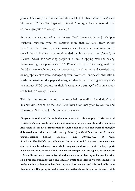grants!! Osborne, who has received almost \$400,000 from *Pioneer Fund*, used his "research" into "black genetic inferiority" to argue for the restoration of school segregation (*Newsday*, 11/9/94)!!

Perhaps the weirdest of all of *Pioneer Fund's* beneficiaries is J. Philippe Rushton. Rushton (who has received more than \$770,000 from *Pioneer Fund!!*) has transformed the Victorian science of cranial measurement into a sexual fetish! Rushton was reprimanded by his school, the *University of Western Ontario*, for accosting people in a local shopping mall and asking them how big their penises were?! A 1986 article by Rushton suggested that the Nazi war machine owed its prowess to racial purity, and worried that demographic shifts were endangering "our Northern European" civilization. Rushton co-authored a paper that argued that blacks have a *genetic propensity* to contract AIDS because of their "reproductive strategy" of promiscuous sex (cited in *Newsday*, 11/9/94).

This is the reality behind the so-called 'scientific foundation' and 'mainstream science' of the *'Bell Curve'* inquisition instigated by Murray and Herrnstein. With this, Jim Naureckas concludes:

**"Anyone who flipped through the footnotes and bibliography of Murray and Herrnstein's book could see that there was something screwy about their sources. And there is hardly a proposition in their book that had not been thoroughly debunked more than a decade ago by Steven Jay Gould's classic work on the pseudo-science behind eugenics, The Mismeasure of Man. So why is The Bell Curve suddenly an "important book" that needs to have cover stories, news broadcasts, even whole magazines devoted to it? In large part, because the book is well-timed to take advantage of a resurgence of racism in U.S. media and society--a racism that does not want to face up to its own identity. In a proposal outlining the book, Murray wrote that there is "a huge number of well-meaning whites who fear that they are closet racists, and this book tells them they are not. It's going to make them feel better about things they already think**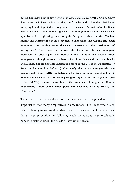**but do not know how to say." (***New York Times Magazine***, 10/9/94) The Bell Curve does indeed tell closet racists that they aren't racist, and makes them feel better by saying that their prejudices are grounded in science. The Bell Curve also fits in well with some current political agendas. The immigration issue has been seized upon by the U.S. right wing, as it has by the far right in other countries. Much of Murray and Herrnstein's book is devoted to suggesting that "Latino and black immigrants are...putting some downward pressure on the distribution of intelligence." The connection between the book and the anti-immigrant movement is, once again, the Pioneer Fund; the fund has always feared immigrants, although its concerns have shifted from Poles and Italians to blacks and Latinos. The leading anti-immigration group in the U.S. is the Federation for American Immigration Reform (unfortunately sharing an acronym with the media watch group FAIR); the federation has received more than \$1 million in Pioneer money, which was critical in getting the organization off the ground. (See**  *Extra!***, 7-8/93.) Pioneer also funds the American Immigration Control Foundation, a more overtly racist group whose work is cited by Murray and Herrnstein."**

Therefore, science is not always as 'laden with overwhelming evidences' and 'impartiality' that many simplistically claim. Indeed, it is those who are so naïve to blindly follow anything that 'science' may seem to tell them who are those most susceptible to following such incredulous pseudo-scientific nonsense justified under the rubric of 'evolution theory.'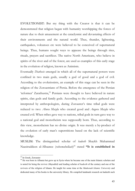EVOLUTIONIST: But my thing with the Creator is that it can be demonstrated that religion began with humanity worshipping the forces of nature due to their amazement at the cataclysmic and devastating effects of their environments and the natural world. Thus, thunder, lightening, earthquakes, volcanoes etc were believed to be conceived of supernatural beings. Thus, humans sought ways to appease the beings through rites, rituals, prayers and sacrifices. The native North Americans, who believe in spirits of the river and of the forest, are used as examples of this early stage in the evolution of religion, known as Animism.

Eventually *Diathesis* emerged in which all of the supernatural powers were confined in two main gods, usually a god of good and a god of evil. According to the evolutionists, an example of this stage can be seen in the religion of the Zoroastrians of Persia. Before the emergence of the Persian 'reformer' Zarathustra,<sup>55</sup> Persians were thought to have believed in nature spirits, clan gods and family gods. According to the evidence gathered and interpreted by anthropologists, during Zoroaster's time tribal gods were reduced to two: *Ahura Mazda* who created good and *Angora Mazda* who created evil. When tribes gave way to nations, tribal gods in turn gave way to a national god and monotheism was supposedly born. Thus, according to this view, monotheism has no divine origin. It was merely a by-product of the evolution of early man's superstitions based on the lack of scientific knowledge.

MUSLIM: The distinguished scholar of *hadeeth* Shaykh Muhammad Naasiruddeen al-Albaanee (*raheemahullaah*)<sup>56</sup> stated "It is established in

<sup>55</sup> In Greek, Zoroaster

<sup>&</sup>lt;sup>56</sup> He was born in Albania but grew up in Syria where he became one of the main Islamic scholars and is noted for being the reviver *(Mujaddid)* and leading scholar of *hadeeth* of the century and one of the revivers of the religion of Islaam. He taught for some time at the *Madeenah Islamic University* and dedicated many of his books to the university library. He compiled landmark research on hadeeth such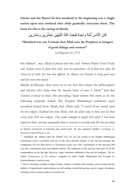**Islaam and the Sharee'ah that mankind in the beginning was a single nation upon true tawheed then shirk gradually overcame them. The basis for this is the saying of Allaah,** 

كَانَ النَّاسُ أُمَّةً وَاحِدَةً فَبَعَتْ اللّهُ النَّبِيِّينَ مُبَشِّرِينَ وَمُنذِرِينَ

**"Mankind was one Ummah then Allah sent the Prophets as bringers of good tidings and warners"** 

*{al-Baqarah (2): 213}* 

Ibn Abbaas<sup>57</sup>, *may Allaah be pleased with him*, said *"between Prophet Nooh (Noah) and Aadam, peace be upon them both, were ten generations, all of them were upon the Sharee'ah of truth, but then they differed. So Allaah sent Prophets to bring good news and also warn their people."*

Shaykh al-Albaanee then went on to say that this refutes the philosophers and atheists who claim that the natural basis of man is *Shirk*, 58 and that *Tawheed* evolved in man! The preceding *Aayah* refutes this claim as do the following authentic *hadeeth*. The Prophet Muhammad *(sallallaahu alayhi wassallam)* related from Allaah, that Allaah said, *"I created all my servants upon the true religion (Tawheed free from Shirk), then the devils came to them and led them astray from their true religion. They made unlawful to people that which I had made lawful for them, and they commanded them to associate in worship with Me that for which* 

as *Silsilah al-Hadeeth as-Saheehah* and *ad-Da'eefah*. He also authored *Tahdheer as-Saajid, at-Tawassul, Fiqh ul-Waaqi'ee* etc.

57 'Abdullaah ibn Abbaas (died 68 AH/687 CE), he was the cousin of the Prophet Muhammad *(sallallaahu alayhi wassallam)* and one of the most eminent scholars of the Qur'aan amongst the companions. He was thus known as *Turjumaan ul-Qur'aan* (The Commentator of the Qur'aan) and was also a prominent jurist and hadeeth scholar. His comments of the Qur'aan form part of all the commentaries on the Qur'aan. However, many comments attributed to him are not authentic. The socalled *'Commentary of Ibn Abbaas'* compiled by Aboo Taahir Muhammad ibn Ya'qoob al-Fayroozabaadee is not his work.

<sup>58</sup> *Shirk* is directing worship to others besides Allaah, it includes idol-worship, saint-worship and the idolatry of superstitions, palm-reading, tea leaf reading, crystal ball gazing, sorcery, magic, divination, claiming to know unseen realms of existence etc.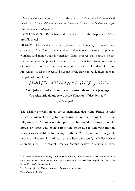*I had sent down no authority."<sup>59</sup>* Also Muhammad *(sallallaahu alayhi wassallam)* sated that, *"Every child is born upon the Fitrah but the parents make them into a Jew or a Christian or a Magian60."*

EVOLUTIONIST: But what is the evidence that this happened? What proof is there?

MUSLIM: The evidence which proves that humanity's monotheistic concept of One God degenerated into idol-worship, man-worship, saint worship, and minor gods is extensive. Islam believes that humans beings started out as worshipping God alone then after deviated into various forms of polytheism as have just been mentioned. Islam holds that God sent Messengers to all the tribes and nations of the Earth to guide them back to the path of monotheism.

وَلَقَدْ بَعَثْنَا فِي كُلِّ أُمَّةٍ رِّسُو لاَ أَنِ اعْبُدُو أَ اللّهَ وَاجْتَنِبُو أَ الطَّاغُو تَ

**"We (Allaah) indeed sent to every nation Messengers (saying) "worship Allaah and leave aside Taaghoot (false deities)"** 

*{an-Nahl (16): 36}* 

The Islamic scholar Ibn ul-Atheer mentioned that **"The Fitrah is that which is innate to every human being, a pre-disposition to the true religion and if man was left upon this he would continue upon it. However, those who deviate from this do so due to following human**  weaknesses and blind following of others."<sup>61</sup> Thus, we find amongst all of the so-called primitive tribes that have been discovered, the belief in One Supreme God. The central America Mayans believe in One God who

<sup>59</sup> A *hadeeth-qudsee* is a divinely inspired hadeeth directly from Allaah to Muhammad *(salallaahu alayhi wassallam).* This narration is related by Muslim and Ahmad from 'Iyyaah ibn Himaar al-Mujaash'ee *(radi Allaahu anhu).*

<sup>60</sup> A fire-worshipper, '*Majoos'* in Arabic, '*Zoroastrian'* in English.

<sup>61</sup> *an-Nihaayah* (3/457).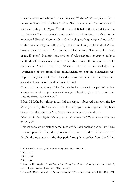created everything, whom they call *'Itzamna,' 62* the *Mende* peoples of Sierra Leone in West Africa believe in One God who created the universe and spirits who they call *'Ngewo*,<sup> $63$ </sup> in the ancient Babylon the main deity of the city, *'Marduk,'<sup>64</sup>* was seen as the Supreme God. In Hinduism, '*Brahman'* is the impersonal Eternal Absolute One God having no beginning and no end.<sup>65</sup> In the Yoruba religion, followed by over 10 million people in West Africa (mainly Nigeria), there is One Supreme God, *Olorius/Olodumare* (The Lord of the Heavens). Nevertheless, modern *Yoruba* religion is characterised by a multitude of *Orisha* worship rites which thus render the religion closer to polytheism. One of the first Western scholars to acknowledge the significance of the trend from monotheism to extreme polytheism was Stephen Langdon of Oxford. Langdon took the view that the Sumerians were the oldest historic civilisation and noted:

"In my opinion the history of the oldest civilisation of man is a rapid decline from monotheism to extreme polytheism and widespread belief in spirits. It is in a very true sense the history the fall of man."<sup>66</sup>

Edward McCrady, writing about Indian religious observed that even the *Rig Veda* (Book 1, p.164) shows that in the early gods were regarded simply as diverse manifestations of One Single Divine Being, he stated that:

"They call him *Indra, Mythra, Varunna, Agnee* – all of these are different terms for the One Wise God."<sup>67</sup>

Chinese scholars of history sometimes divide their ancient period into three separate periods: first, the primal-ancient, second, the mid-ancient and thirdly, the near ancient, the first period roughly stretches from the 21<sup>st</sup> to

<sup>62</sup> John Hinnels, *Dictionary of Religions* (Penguin Books: 1884), p. 93.

<sup>63</sup> Ibid., p.210.

<sup>64</sup> Ibid., p.204.

<sup>65</sup> Ibid., p.68.

<sup>66</sup> Stephen H. Langdon, *"Mythology of all Races,"* in *Semitic Mythology Journal* (Vol. 5, Archaeological Institute of America: 1931), p. xviii/p.18.

<sup>67</sup> Edward McCrady*, "Genesis and Pagan Cosmologies,"* [Trans. Vict. Institute; Vol. 72 (1940), p.55]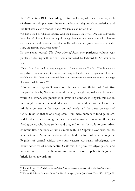the  $12<sup>th</sup>$  century BCE. According to Ron Williams, who read Chinese, each of these periods possessed its own distinctive religious characteristics, and the first was clearly monotheistic. Williams also noted that:

"In this period of Chinese history, God the Supreme Ruler was One and indivisible, incapable of change, having no equal, ruling absolutely and alone over all in heaven above and in Earth beneath. He did what He willed and no power was able to hinder Him, and His will was always right."<sup>68</sup>

In the series journal *The Great Ages of Man*, one particular volume was published dealing with ancient China authored by Edward H. Schafer who noted:

"One of the oldest and certainly the greatest of deities was the Sky God *Ti'en*. In the very early days *Ti'en* was thought of as a great King in the sky, more magnificent than any earth bound kin. Later many viewed *Ti'en* as an impersonal dynamo, the source of energy that animated the world."<sup>69</sup>

Another very important work on the early monotheism of 'primitive peoples' is that by Wilhelm Schmidt which, though originally a voluminous work in German, was published in 1930 in a condensed English translation as a single volume. Schmidt discovered in his studies that he found the primitive cultures at the lowest cultural levels had the purer concepts of God. He noted that as one progresses from mere hunters to food gatherers, and food storers to food growers as pastoral nomads maintaining flocks, to food growers who have settles land use, and on up the scale to semi-urban communities, one finds at first a simple faith in a Supreme God who has no wife or family. According to Schmidt we find this form of belief among the Pygmies of central Africa, the south-eastern Australian Aborigines, the native Americas of north-central California, the primitive Algonquians, and to a certain extent the Koryaks and Ainu. To sum up his findings very briefly his own words are:

<sup>68</sup> Ron Williams*, "Early Chinese Monotheism,"* a thesis paper presented before the *Kelvin Institute* (Toronto, 1938).

<sup>69</sup> Edward H. Schafer, *"Ancient China,"* in *The Great Ages of Man* (New York: Time Life, 1967) p. 58.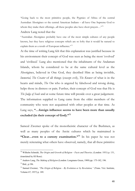"Going back to the most primitive people, the Pygmies of Africa of the central Australian Aborigines or the central American Indians – all have One Supreme God to whom they make their offerings...all these peoples also have short prayers..."<sup>70</sup>

#### Andrew Lang noted that the

"Australian Aborigines probably have one of the most simple cultures of any people known, but they have religious concepts which are so lofty that it would be natural to explain them as a result of European influence."<sup>71</sup>

At the time of writing Lang felt that this explanation was justified because in his environment their concept of God was seen as being the most 'evolved' and 'civilised.' Lang also mentioned that the inhabitants of the Andaman Islands, whom he considered to be at the same cultural level as the Aborigines, believed in One God, they decribed Him as being invisible, *Immortal, The Creator* of all things (except evil), *The Knower* of what is in the hearts and minds, *The One* who is angered by falsehood and wrong doing, helps those in distress or pain. Further, their concept of God was that He is *The Judge of Souls* and at some future time will preside over a great judgement. The information supplied to Lang came from the older members of the community who were not acquainted with other peoples at that time. As Lang says, **"…foreign influence seems to have been more than usually excluded (in their concept of God)."72**

Sameul Zwemer spoke of the monotheistic character of the Bushmen, as well as many peoples of the Arctic cultures which he maintained is "Clear...even to a cursory examination."<sup>73</sup> In his paper he was not merely reiterating what others have observed, namely, that all these primitive

<sup>70</sup> Wilhelm Schmidt, *The Origin and Growth of Religion – Facts and Theories,* (London: 1931) p. 131, (translated by HJ Rose).

<sup>71</sup> Andrew Lang, *The Making of Religion* (London: Longmans Green, 1909) pp. 175-182, 196. 72 Ibid., p.196.

<sup>73</sup> Samuel Zwemer, *"The Origin of Religion – By Evolution or by Revelation,"* (Trans. Vict. Institute, Volume 67; 1937) p. 189.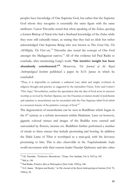peoples have knowledge of One Supreme God, but rather that the Supreme God whom they recognise is essentially the same figure with the same attributes. Canon Titcombe noted that when speaking of the Zulus, quoting a former Bishop of Natal who had a firsthand knowledge of the Zulus while they were still culturally intact, as stating that they had no idols but rather acknowledged One Supreme Being who was known as The *Great One, The All-Mighty, The First* etc.74 Titcombe also noted the concept of One God amongst the Madagascan natives.75 All of this evidence led Paul Radin to conclude, after mentioning Lang's work: **"his intuitive insight has been abundantly corroborated."76** Moreover, *The Journal of the Royal Anthropological Institute* published a paper by E.O. James in which he concluded:

"Thus, it is impossible to maintain a unilateral (one sided and single) evolution in religious thought and practice as suggested by the rationalists Frazer, Tylor and Comte's *'Three Stages.'* Nevertheless, neither the speculation that the idea of God arose in ancestor worship as revived by Herbert Spencer, nor the Frazerian evolution model of polytheism and animism to monotheism can be reconciled with the One Supreme tribal God which is a recurrent feature of the primitive concept of God."<sup>77</sup>

The degeneration of monotheism can be seen in Buddhism which began in the  $6<sup>th</sup>$  century as a reform movement within Hinduism. Later on however, gigantic colossal statues and images of the Buddha were erected and surrounded by flowers, incense etc. Buddhists further performed a number of rituals to these statues that include prostrating and bowing. In addition the Dalai Lama of Tibet is worshiped as a man-god, with his devotees prostrating to him. This is also observable in the *Naqshabandandee Soofee* world movement with their current leader Naazim Qubrusee and also other

<sup>74</sup> J.H. Titcombe, *"Prehistoric Monotheism,"* (Trans. Vict. Institute, Vol. 8, 1937) p. 145.

 $75$  ibid, p. 144.

<sup>76</sup> Paul Radin, *Primitive Men as Philosophers* (New York: 1956) p. 346.

<sup>77</sup> E.O. James, *"Religion and Reality,"* in *The Journal of the Royal Anthropological Institute* (Vol. 79, 1950) p. 28.